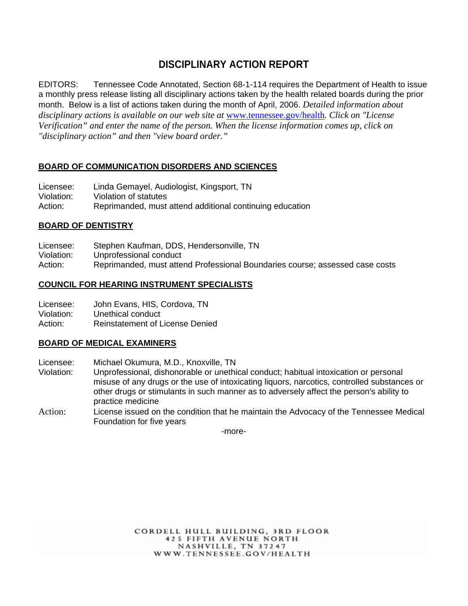# **DISCIPLINARY ACTION REPORT**

EDITORS: Tennessee Code Annotated, Section 68-1-114 requires the Department of Health to issue a monthly press release listing all disciplinary actions taken by the health related boards during the prior month. Below is a list of actions taken during the month of April, 2006. *Detailed information about disciplinary actions is available on our web site at* www.tennessee.gov/health*. Click on "License Verification" and enter the name of the person. When the license information comes up, click on "disciplinary action" and then "view board order."* 

## **BOARD OF COMMUNICATION DISORDERS AND SCIENCES**

| Licensee:  | Linda Gemayel, Audiologist, Kingsport, TN                |
|------------|----------------------------------------------------------|
| Violation: | Violation of statutes                                    |
| Action:    | Reprimanded, must attend additional continuing education |

#### **BOARD OF DENTISTRY**

- Licensee: Stephen Kaufman, DDS, Hendersonville, TN
- Violation: Unprofessional conduct
- Action: Reprimanded, must attend Professional Boundaries course; assessed case costs

#### **COUNCIL FOR HEARING INSTRUMENT SPECIALISTS**

Licensee: John Evans, HIS, Cordova, TN

Violation: Unethical conduct

Action: Reinstatement of License Denied

### **BOARD OF MEDICAL EXAMINERS**

- Licensee: Michael Okumura, M.D., Knoxville, TN
- Violation: Unprofessional, dishonorable or unethical conduct; habitual intoxication or personal misuse of any drugs or the use of intoxicating liquors, narcotics, controlled substances or other drugs or stimulants in such manner as to adversely affect the person's ability to practice medicine
- Action: License issued on the condition that he maintain the Advocacy of the Tennessee Medical Foundation for five years

-more-

CORDELL HULL BUILDING, 3RD FLOOR **425 FIFTH AVENUE NORTH** NASHVILLE, TN 37247 WWW.TENNESSEE.GOV/HEALTH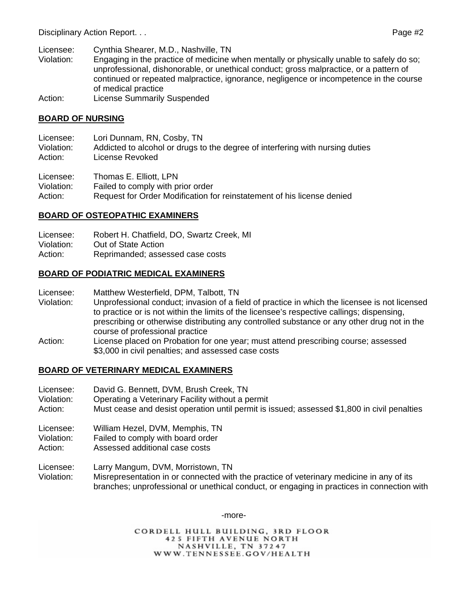- Licensee: Cynthia Shearer, M.D., Nashville, TN
- Violation: Engaging in the practice of medicine when mentally or physically unable to safely do so; unprofessional, dishonorable, or unethical conduct; gross malpractice, or a pattern of continued or repeated malpractice, ignorance, negligence or incompetence in the course of medical practice
- Action: License Summarily Suspended

## **BOARD OF NURSING**

- Licensee: Lori Dunnam, RN, Cosby, TN
- Violation: Addicted to alcohol or drugs to the degree of interfering with nursing duties
- Action: License Revoked
- Licensee: Thomas E. Elliott, LPN
- Violation: Failed to comply with prior order
- Action: Request for Order Modification for reinstatement of his license denied

# **BOARD OF OSTEOPATHIC EXAMINERS**

- Licensee: Robert H. Chatfield, DO, Swartz Creek, MI
- Violation: Out of State Action
- Action: Reprimanded; assessed case costs

# **BOARD OF PODIATRIC MEDICAL EXAMINERS**

- Licensee: Matthew Westerfield, DPM, Talbott, TN
- Violation: Unprofessional conduct; invasion of a field of practice in which the licensee is not licensed to practice or is not within the limits of the licensee's respective callings; dispensing, prescribing or otherwise distributing any controlled substance or any other drug not in the course of professional practice
- Action: License placed on Probation for one year; must attend prescribing course; assessed \$3,000 in civil penalties; and assessed case costs

# **BOARD OF VETERINARY MEDICAL EXAMINERS**

- Licensee: David G. Bennett, DVM, Brush Creek, TN
- Violation: Operating a Veterinary Facility without a permit
- Action: Must cease and desist operation until permit is issued; assessed \$1,800 in civil penalties
- Licensee: William Hezel, DVM, Memphis, TN
- Violation: Failed to comply with board order
- Action: Assessed additional case costs
- Licensee: Larry Mangum, DVM, Morristown, TN
- Violation: Misrepresentation in or connected with the practice of veterinary medicine in any of its branches; unprofessional or unethical conduct, or engaging in practices in connection with

#### -more-

CORDELL HULL BUILDING, 3RD FLOOR **425 FIFTH AVENUE NORTH** NASHVILLE, TN 37247 WWW.TENNESSEE.GOV/HEALTH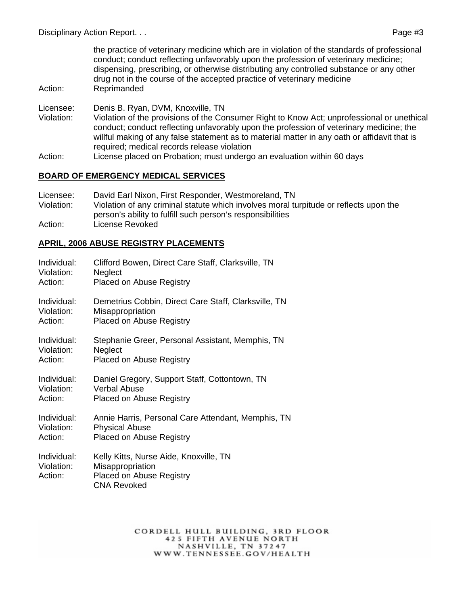the practice of veterinary medicine which are in violation of the standards of professional conduct; conduct reflecting unfavorably upon the profession of veterinary medicine; dispensing, prescribing, or otherwise distributing any controlled substance or any other drug not in the course of the accepted practice of veterinary medicine Action: Reprimanded

- Licensee: Denis B. Ryan, DVM, Knoxville, TN
- Violation: Violation of the provisions of the Consumer Right to Know Act; unprofessional or unethical conduct; conduct reflecting unfavorably upon the profession of veterinary medicine; the willful making of any false statement as to material matter in any oath or affidavit that is required; medical records release violation
- Action: License placed on Probation; must undergo an evaluation within 60 days

#### **BOARD OF EMERGENCY MEDICAL SERVICES**

Licensee: David Earl Nixon, First Responder, Westmoreland, TN Violation: Violation of any criminal statute which involves moral turpitude or reflects upon the person's ability to fulfill such person's responsibilities Action: License Revoked

### **APRIL, 2006 ABUSE REGISTRY PLACEMENTS**

| Individual:                          | Clifford Bowen, Direct Care Staff, Clarksville, TN                                                           |
|--------------------------------------|--------------------------------------------------------------------------------------------------------------|
| Violation:                           | <b>Neglect</b>                                                                                               |
| Action:                              | <b>Placed on Abuse Registry</b>                                                                              |
| Individual:                          | Demetrius Cobbin, Direct Care Staff, Clarksville, TN                                                         |
| Violation:                           | Misappropriation                                                                                             |
| Action:                              | <b>Placed on Abuse Registry</b>                                                                              |
| Individual:                          | Stephanie Greer, Personal Assistant, Memphis, TN                                                             |
| Violation:                           | <b>Neglect</b>                                                                                               |
| Action:                              | <b>Placed on Abuse Registry</b>                                                                              |
| Individual:                          | Daniel Gregory, Support Staff, Cottontown, TN                                                                |
| Violation:                           | Verbal Abuse                                                                                                 |
| Action:                              | <b>Placed on Abuse Registry</b>                                                                              |
| Individual:                          | Annie Harris, Personal Care Attendant, Memphis, TN                                                           |
| Violation:                           | <b>Physical Abuse</b>                                                                                        |
| Action:                              | <b>Placed on Abuse Registry</b>                                                                              |
| Individual:<br>Violation:<br>Action: | Kelly Kitts, Nurse Aide, Knoxville, TN<br>Misappropriation<br>Placed on Abuse Registry<br><b>CNA Revoked</b> |

CORDELL HULL BUILDING, 3RD FLOOR **425 FIFTH AVENUE NORTH** NASHVILLE, TN 37247 WWW.TENNESSEE.GOV/HEALTH